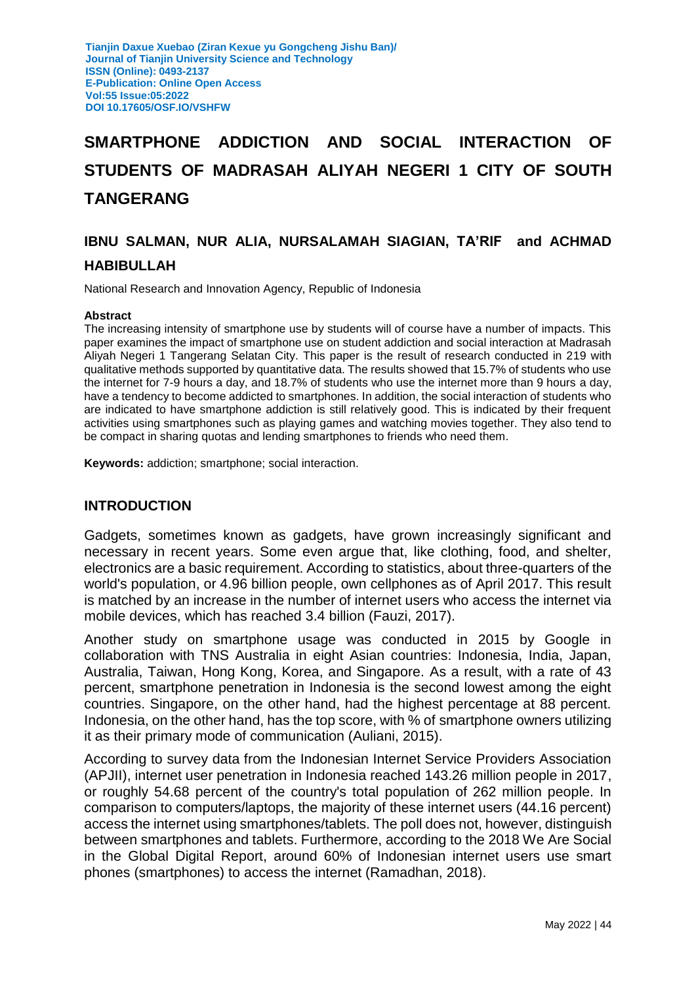# **SMARTPHONE ADDICTION AND SOCIAL INTERACTION OF STUDENTS OF MADRASAH ALIYAH NEGERI 1 CITY OF SOUTH TANGERANG**

## **IBNU SALMAN, NUR ALIA, NURSALAMAH SIAGIAN, TA'RIF and ACHMAD**

#### **HABIBULLAH**

National Research and Innovation Agency, Republic of Indonesia

#### **Abstract**

The increasing intensity of smartphone use by students will of course have a number of impacts. This paper examines the impact of smartphone use on student addiction and social interaction at Madrasah Aliyah Negeri 1 Tangerang Selatan City. This paper is the result of research conducted in 219 with qualitative methods supported by quantitative data. The results showed that 15.7% of students who use the internet for 7-9 hours a day, and 18.7% of students who use the internet more than 9 hours a day, have a tendency to become addicted to smartphones. In addition, the social interaction of students who are indicated to have smartphone addiction is still relatively good. This is indicated by their frequent activities using smartphones such as playing games and watching movies together. They also tend to be compact in sharing quotas and lending smartphones to friends who need them.

**Keywords:** addiction; smartphone; social interaction.

## **INTRODUCTION**

Gadgets, sometimes known as gadgets, have grown increasingly significant and necessary in recent years. Some even argue that, like clothing, food, and shelter, electronics are a basic requirement. According to statistics, about three-quarters of the world's population, or 4.96 billion people, own cellphones as of April 2017. This result is matched by an increase in the number of internet users who access the internet via mobile devices, which has reached 3.4 billion (Fauzi, 2017).

Another study on smartphone usage was conducted in 2015 by Google in collaboration with TNS Australia in eight Asian countries: Indonesia, India, Japan, Australia, Taiwan, Hong Kong, Korea, and Singapore. As a result, with a rate of 43 percent, smartphone penetration in Indonesia is the second lowest among the eight countries. Singapore, on the other hand, had the highest percentage at 88 percent. Indonesia, on the other hand, has the top score, with % of smartphone owners utilizing it as their primary mode of communication (Auliani, 2015).

According to survey data from the Indonesian Internet Service Providers Association (APJII), internet user penetration in Indonesia reached 143.26 million people in 2017, or roughly 54.68 percent of the country's total population of 262 million people. In comparison to computers/laptops, the majority of these internet users (44.16 percent) access the internet using smartphones/tablets. The poll does not, however, distinguish between smartphones and tablets. Furthermore, according to the 2018 We Are Social in the Global Digital Report, around 60% of Indonesian internet users use smart phones (smartphones) to access the internet (Ramadhan, 2018).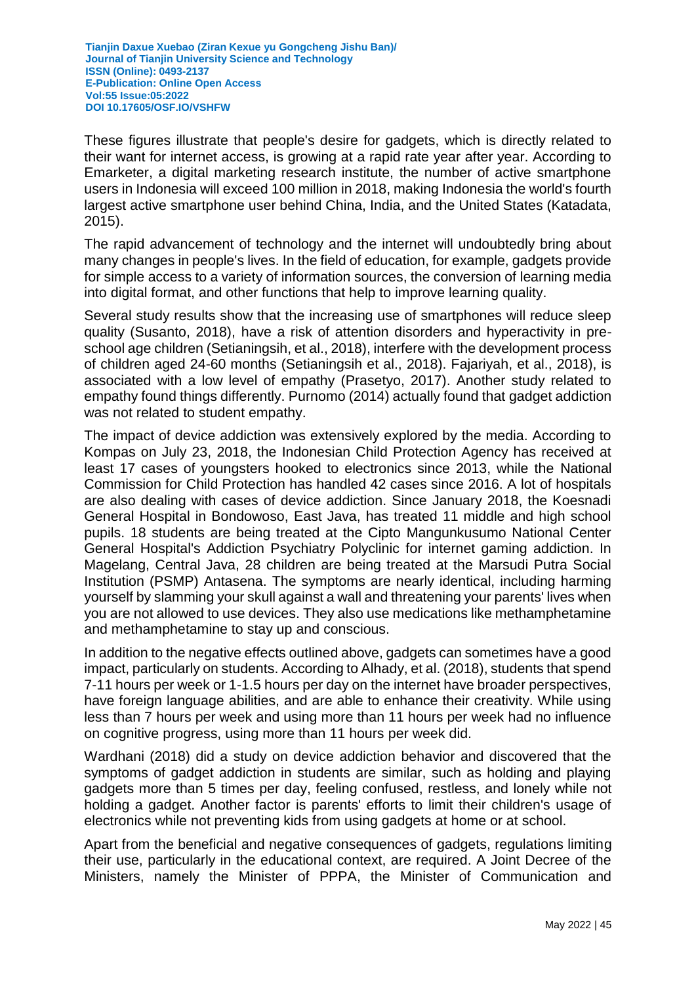These figures illustrate that people's desire for gadgets, which is directly related to their want for internet access, is growing at a rapid rate year after year. According to Emarketer, a digital marketing research institute, the number of active smartphone users in Indonesia will exceed 100 million in 2018, making Indonesia the world's fourth largest active smartphone user behind China, India, and the United States (Katadata, 2015).

The rapid advancement of technology and the internet will undoubtedly bring about many changes in people's lives. In the field of education, for example, gadgets provide for simple access to a variety of information sources, the conversion of learning media into digital format, and other functions that help to improve learning quality.

Several study results show that the increasing use of smartphones will reduce sleep quality (Susanto, 2018), have a risk of attention disorders and hyperactivity in preschool age children (Setianingsih, et al., 2018), interfere with the development process of children aged 24-60 months (Setianingsih et al., 2018). Fajariyah, et al., 2018), is associated with a low level of empathy (Prasetyo, 2017). Another study related to empathy found things differently. Purnomo (2014) actually found that gadget addiction was not related to student empathy.

The impact of device addiction was extensively explored by the media. According to Kompas on July 23, 2018, the Indonesian Child Protection Agency has received at least 17 cases of youngsters hooked to electronics since 2013, while the National Commission for Child Protection has handled 42 cases since 2016. A lot of hospitals are also dealing with cases of device addiction. Since January 2018, the Koesnadi General Hospital in Bondowoso, East Java, has treated 11 middle and high school pupils. 18 students are being treated at the Cipto Mangunkusumo National Center General Hospital's Addiction Psychiatry Polyclinic for internet gaming addiction. In Magelang, Central Java, 28 children are being treated at the Marsudi Putra Social Institution (PSMP) Antasena. The symptoms are nearly identical, including harming yourself by slamming your skull against a wall and threatening your parents' lives when you are not allowed to use devices. They also use medications like methamphetamine and methamphetamine to stay up and conscious.

In addition to the negative effects outlined above, gadgets can sometimes have a good impact, particularly on students. According to Alhady, et al. (2018), students that spend 7-11 hours per week or 1-1.5 hours per day on the internet have broader perspectives, have foreign language abilities, and are able to enhance their creativity. While using less than 7 hours per week and using more than 11 hours per week had no influence on cognitive progress, using more than 11 hours per week did.

Wardhani (2018) did a study on device addiction behavior and discovered that the symptoms of gadget addiction in students are similar, such as holding and playing gadgets more than 5 times per day, feeling confused, restless, and lonely while not holding a gadget. Another factor is parents' efforts to limit their children's usage of electronics while not preventing kids from using gadgets at home or at school.

Apart from the beneficial and negative consequences of gadgets, regulations limiting their use, particularly in the educational context, are required. A Joint Decree of the Ministers, namely the Minister of PPPA, the Minister of Communication and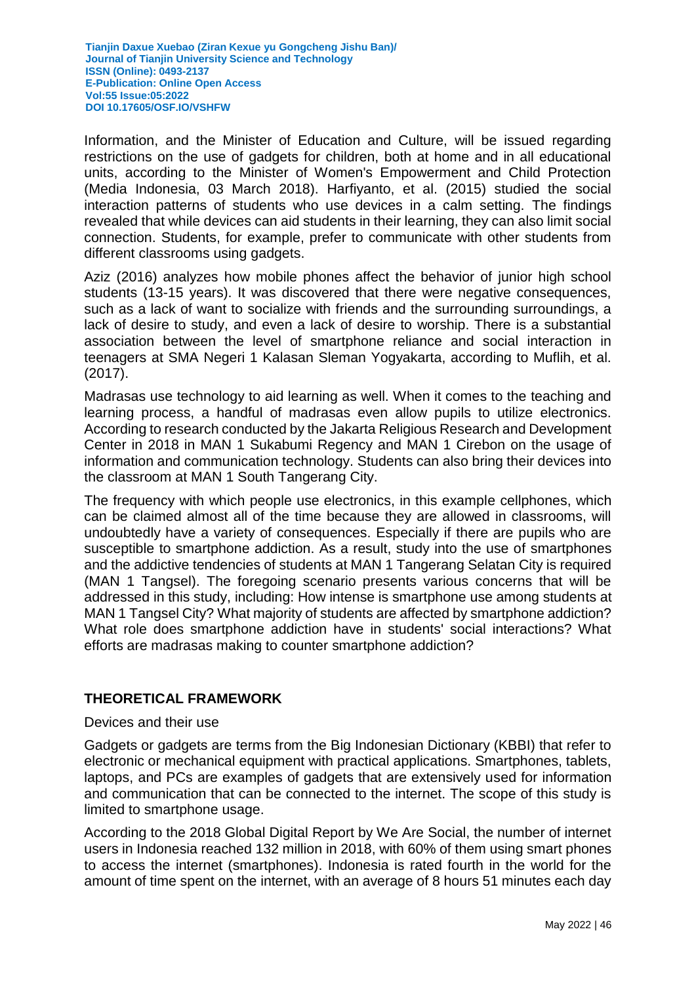Information, and the Minister of Education and Culture, will be issued regarding restrictions on the use of gadgets for children, both at home and in all educational units, according to the Minister of Women's Empowerment and Child Protection (Media Indonesia, 03 March 2018). Harfiyanto, et al. (2015) studied the social interaction patterns of students who use devices in a calm setting. The findings revealed that while devices can aid students in their learning, they can also limit social connection. Students, for example, prefer to communicate with other students from different classrooms using gadgets.

Aziz (2016) analyzes how mobile phones affect the behavior of junior high school students (13-15 years). It was discovered that there were negative consequences, such as a lack of want to socialize with friends and the surrounding surroundings, a lack of desire to study, and even a lack of desire to worship. There is a substantial association between the level of smartphone reliance and social interaction in teenagers at SMA Negeri 1 Kalasan Sleman Yogyakarta, according to Muflih, et al. (2017).

Madrasas use technology to aid learning as well. When it comes to the teaching and learning process, a handful of madrasas even allow pupils to utilize electronics. According to research conducted by the Jakarta Religious Research and Development Center in 2018 in MAN 1 Sukabumi Regency and MAN 1 Cirebon on the usage of information and communication technology. Students can also bring their devices into the classroom at MAN 1 South Tangerang City.

The frequency with which people use electronics, in this example cellphones, which can be claimed almost all of the time because they are allowed in classrooms, will undoubtedly have a variety of consequences. Especially if there are pupils who are susceptible to smartphone addiction. As a result, study into the use of smartphones and the addictive tendencies of students at MAN 1 Tangerang Selatan City is required (MAN 1 Tangsel). The foregoing scenario presents various concerns that will be addressed in this study, including: How intense is smartphone use among students at MAN 1 Tangsel City? What majority of students are affected by smartphone addiction? What role does smartphone addiction have in students' social interactions? What efforts are madrasas making to counter smartphone addiction?

## **THEORETICAL FRAMEWORK**

#### Devices and their use

Gadgets or gadgets are terms from the Big Indonesian Dictionary (KBBI) that refer to electronic or mechanical equipment with practical applications. Smartphones, tablets, laptops, and PCs are examples of gadgets that are extensively used for information and communication that can be connected to the internet. The scope of this study is limited to smartphone usage.

According to the 2018 Global Digital Report by We Are Social, the number of internet users in Indonesia reached 132 million in 2018, with 60% of them using smart phones to access the internet (smartphones). Indonesia is rated fourth in the world for the amount of time spent on the internet, with an average of 8 hours 51 minutes each day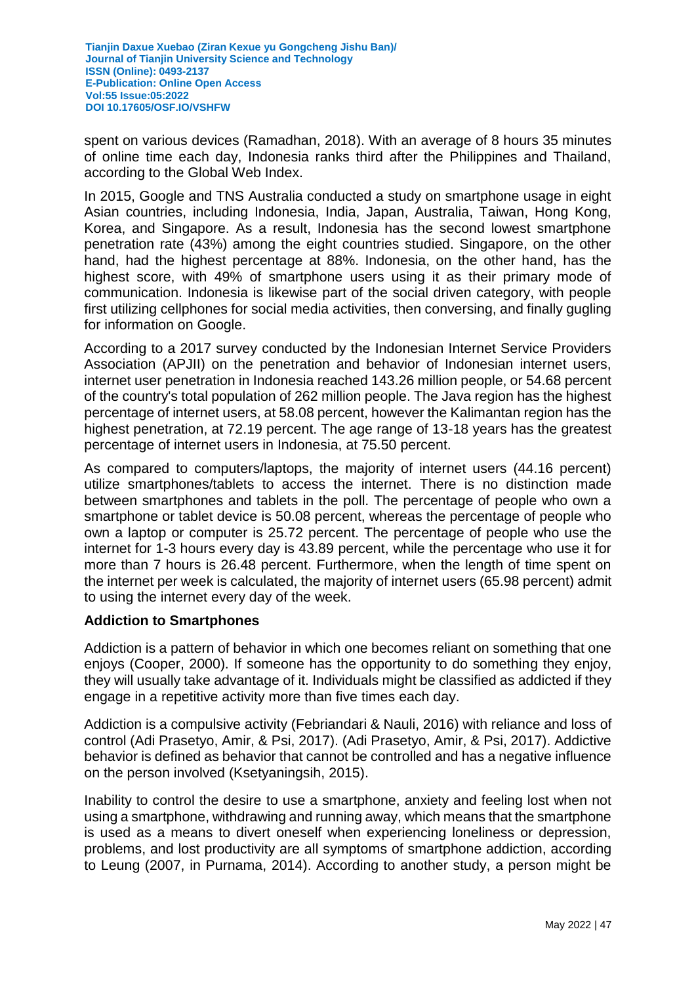spent on various devices (Ramadhan, 2018). With an average of 8 hours 35 minutes of online time each day, Indonesia ranks third after the Philippines and Thailand, according to the Global Web Index.

In 2015, Google and TNS Australia conducted a study on smartphone usage in eight Asian countries, including Indonesia, India, Japan, Australia, Taiwan, Hong Kong, Korea, and Singapore. As a result, Indonesia has the second lowest smartphone penetration rate (43%) among the eight countries studied. Singapore, on the other hand, had the highest percentage at 88%. Indonesia, on the other hand, has the highest score, with 49% of smartphone users using it as their primary mode of communication. Indonesia is likewise part of the social driven category, with people first utilizing cellphones for social media activities, then conversing, and finally gugling for information on Google.

According to a 2017 survey conducted by the Indonesian Internet Service Providers Association (APJII) on the penetration and behavior of Indonesian internet users, internet user penetration in Indonesia reached 143.26 million people, or 54.68 percent of the country's total population of 262 million people. The Java region has the highest percentage of internet users, at 58.08 percent, however the Kalimantan region has the highest penetration, at 72.19 percent. The age range of 13-18 years has the greatest percentage of internet users in Indonesia, at 75.50 percent.

As compared to computers/laptops, the majority of internet users (44.16 percent) utilize smartphones/tablets to access the internet. There is no distinction made between smartphones and tablets in the poll. The percentage of people who own a smartphone or tablet device is 50.08 percent, whereas the percentage of people who own a laptop or computer is 25.72 percent. The percentage of people who use the internet for 1-3 hours every day is 43.89 percent, while the percentage who use it for more than 7 hours is 26.48 percent. Furthermore, when the length of time spent on the internet per week is calculated, the majority of internet users (65.98 percent) admit to using the internet every day of the week.

## **Addiction to Smartphones**

Addiction is a pattern of behavior in which one becomes reliant on something that one enjoys (Cooper, 2000). If someone has the opportunity to do something they enjoy, they will usually take advantage of it. Individuals might be classified as addicted if they engage in a repetitive activity more than five times each day.

Addiction is a compulsive activity (Febriandari & Nauli, 2016) with reliance and loss of control (Adi Prasetyo, Amir, & Psi, 2017). (Adi Prasetyo, Amir, & Psi, 2017). Addictive behavior is defined as behavior that cannot be controlled and has a negative influence on the person involved (Ksetyaningsih, 2015).

Inability to control the desire to use a smartphone, anxiety and feeling lost when not using a smartphone, withdrawing and running away, which means that the smartphone is used as a means to divert oneself when experiencing loneliness or depression, problems, and lost productivity are all symptoms of smartphone addiction, according to Leung (2007, in Purnama, 2014). According to another study, a person might be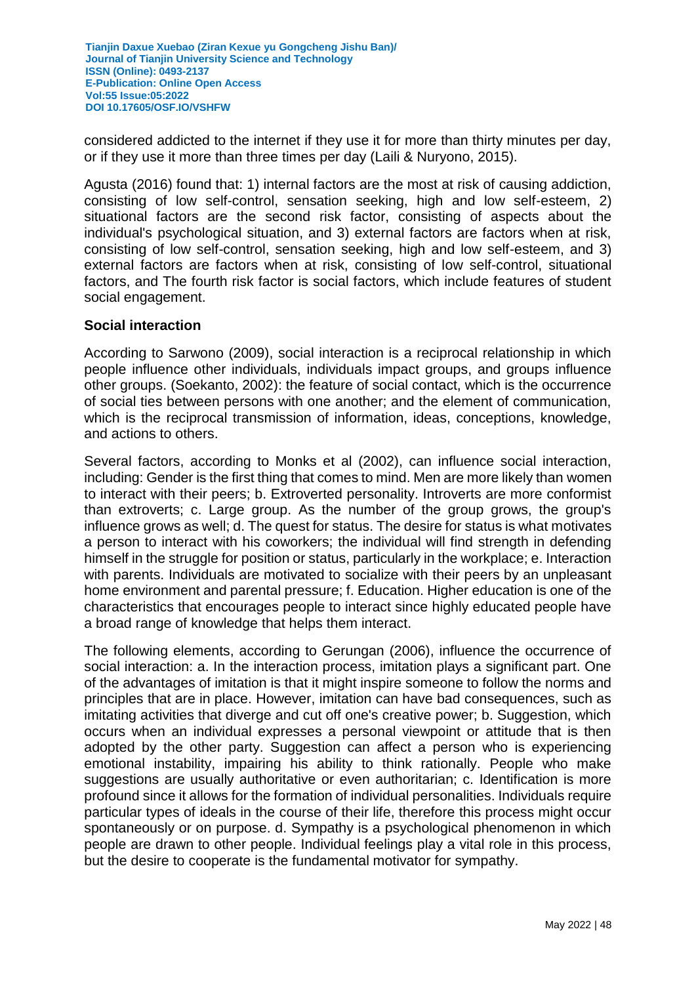considered addicted to the internet if they use it for more than thirty minutes per day, or if they use it more than three times per day (Laili & Nuryono, 2015).

Agusta (2016) found that: 1) internal factors are the most at risk of causing addiction, consisting of low self-control, sensation seeking, high and low self-esteem, 2) situational factors are the second risk factor, consisting of aspects about the individual's psychological situation, and 3) external factors are factors when at risk, consisting of low self-control, sensation seeking, high and low self-esteem, and 3) external factors are factors when at risk, consisting of low self-control, situational factors, and The fourth risk factor is social factors, which include features of student social engagement.

#### **Social interaction**

According to Sarwono (2009), social interaction is a reciprocal relationship in which people influence other individuals, individuals impact groups, and groups influence other groups. (Soekanto, 2002): the feature of social contact, which is the occurrence of social ties between persons with one another; and the element of communication, which is the reciprocal transmission of information, ideas, conceptions, knowledge, and actions to others.

Several factors, according to Monks et al (2002), can influence social interaction, including: Gender is the first thing that comes to mind. Men are more likely than women to interact with their peers; b. Extroverted personality. Introverts are more conformist than extroverts; c. Large group. As the number of the group grows, the group's influence grows as well; d. The quest for status. The desire for status is what motivates a person to interact with his coworkers; the individual will find strength in defending himself in the struggle for position or status, particularly in the workplace; e. Interaction with parents. Individuals are motivated to socialize with their peers by an unpleasant home environment and parental pressure; f. Education. Higher education is one of the characteristics that encourages people to interact since highly educated people have a broad range of knowledge that helps them interact.

The following elements, according to Gerungan (2006), influence the occurrence of social interaction: a. In the interaction process, imitation plays a significant part. One of the advantages of imitation is that it might inspire someone to follow the norms and principles that are in place. However, imitation can have bad consequences, such as imitating activities that diverge and cut off one's creative power; b. Suggestion, which occurs when an individual expresses a personal viewpoint or attitude that is then adopted by the other party. Suggestion can affect a person who is experiencing emotional instability, impairing his ability to think rationally. People who make suggestions are usually authoritative or even authoritarian; c. Identification is more profound since it allows for the formation of individual personalities. Individuals require particular types of ideals in the course of their life, therefore this process might occur spontaneously or on purpose. d. Sympathy is a psychological phenomenon in which people are drawn to other people. Individual feelings play a vital role in this process, but the desire to cooperate is the fundamental motivator for sympathy.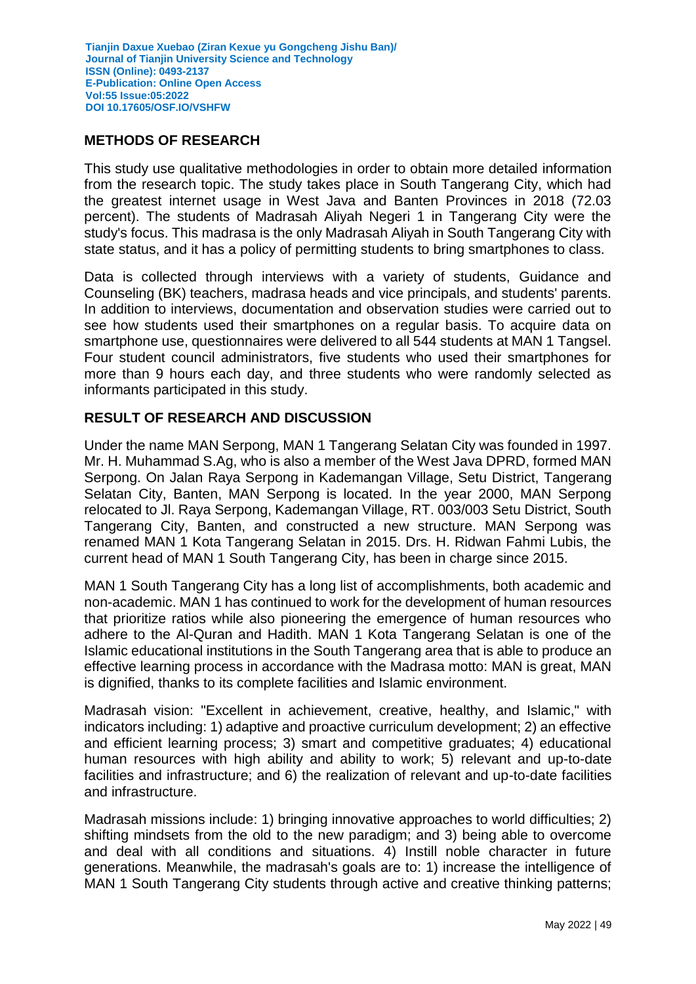## **METHODS OF RESEARCH**

This study use qualitative methodologies in order to obtain more detailed information from the research topic. The study takes place in South Tangerang City, which had the greatest internet usage in West Java and Banten Provinces in 2018 (72.03 percent). The students of Madrasah Aliyah Negeri 1 in Tangerang City were the study's focus. This madrasa is the only Madrasah Aliyah in South Tangerang City with state status, and it has a policy of permitting students to bring smartphones to class.

Data is collected through interviews with a variety of students, Guidance and Counseling (BK) teachers, madrasa heads and vice principals, and students' parents. In addition to interviews, documentation and observation studies were carried out to see how students used their smartphones on a regular basis. To acquire data on smartphone use, questionnaires were delivered to all 544 students at MAN 1 Tangsel. Four student council administrators, five students who used their smartphones for more than 9 hours each day, and three students who were randomly selected as informants participated in this study.

## **RESULT OF RESEARCH AND DISCUSSION**

Under the name MAN Serpong, MAN 1 Tangerang Selatan City was founded in 1997. Mr. H. Muhammad S.Ag, who is also a member of the West Java DPRD, formed MAN Serpong. On Jalan Raya Serpong in Kademangan Village, Setu District, Tangerang Selatan City, Banten, MAN Serpong is located. In the year 2000, MAN Serpong relocated to Jl. Raya Serpong, Kademangan Village, RT. 003/003 Setu District, South Tangerang City, Banten, and constructed a new structure. MAN Serpong was renamed MAN 1 Kota Tangerang Selatan in 2015. Drs. H. Ridwan Fahmi Lubis, the current head of MAN 1 South Tangerang City, has been in charge since 2015.

MAN 1 South Tangerang City has a long list of accomplishments, both academic and non-academic. MAN 1 has continued to work for the development of human resources that prioritize ratios while also pioneering the emergence of human resources who adhere to the Al-Quran and Hadith. MAN 1 Kota Tangerang Selatan is one of the Islamic educational institutions in the South Tangerang area that is able to produce an effective learning process in accordance with the Madrasa motto: MAN is great, MAN is dignified, thanks to its complete facilities and Islamic environment.

Madrasah vision: "Excellent in achievement, creative, healthy, and Islamic," with indicators including: 1) adaptive and proactive curriculum development; 2) an effective and efficient learning process; 3) smart and competitive graduates; 4) educational human resources with high ability and ability to work; 5) relevant and up-to-date facilities and infrastructure; and 6) the realization of relevant and up-to-date facilities and infrastructure.

Madrasah missions include: 1) bringing innovative approaches to world difficulties; 2) shifting mindsets from the old to the new paradigm; and 3) being able to overcome and deal with all conditions and situations. 4) Instill noble character in future generations. Meanwhile, the madrasah's goals are to: 1) increase the intelligence of MAN 1 South Tangerang City students through active and creative thinking patterns;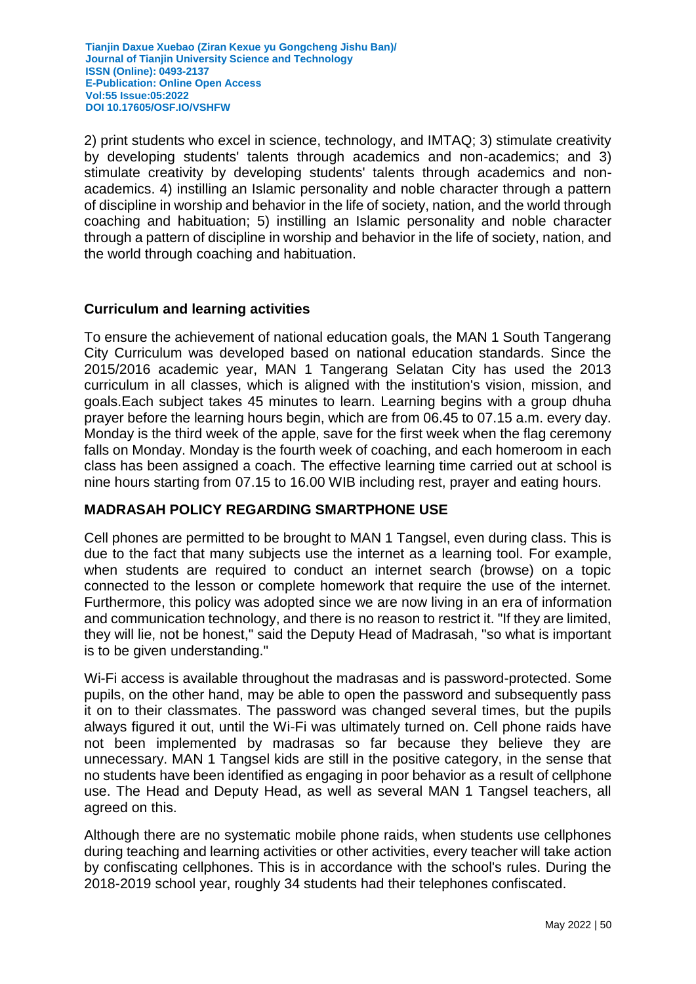2) print students who excel in science, technology, and IMTAQ; 3) stimulate creativity by developing students' talents through academics and non-academics; and 3) stimulate creativity by developing students' talents through academics and nonacademics. 4) instilling an Islamic personality and noble character through a pattern of discipline in worship and behavior in the life of society, nation, and the world through coaching and habituation; 5) instilling an Islamic personality and noble character through a pattern of discipline in worship and behavior in the life of society, nation, and the world through coaching and habituation.

## **Curriculum and learning activities**

To ensure the achievement of national education goals, the MAN 1 South Tangerang City Curriculum was developed based on national education standards. Since the 2015/2016 academic year, MAN 1 Tangerang Selatan City has used the 2013 curriculum in all classes, which is aligned with the institution's vision, mission, and goals.Each subject takes 45 minutes to learn. Learning begins with a group dhuha prayer before the learning hours begin, which are from 06.45 to 07.15 a.m. every day. Monday is the third week of the apple, save for the first week when the flag ceremony falls on Monday. Monday is the fourth week of coaching, and each homeroom in each class has been assigned a coach. The effective learning time carried out at school is nine hours starting from 07.15 to 16.00 WIB including rest, prayer and eating hours.

#### **MADRASAH POLICY REGARDING SMARTPHONE USE**

Cell phones are permitted to be brought to MAN 1 Tangsel, even during class. This is due to the fact that many subjects use the internet as a learning tool. For example, when students are required to conduct an internet search (browse) on a topic connected to the lesson or complete homework that require the use of the internet. Furthermore, this policy was adopted since we are now living in an era of information and communication technology, and there is no reason to restrict it. "If they are limited, they will lie, not be honest," said the Deputy Head of Madrasah, "so what is important is to be given understanding."

Wi-Fi access is available throughout the madrasas and is password-protected. Some pupils, on the other hand, may be able to open the password and subsequently pass it on to their classmates. The password was changed several times, but the pupils always figured it out, until the Wi-Fi was ultimately turned on. Cell phone raids have not been implemented by madrasas so far because they believe they are unnecessary. MAN 1 Tangsel kids are still in the positive category, in the sense that no students have been identified as engaging in poor behavior as a result of cellphone use. The Head and Deputy Head, as well as several MAN 1 Tangsel teachers, all agreed on this.

Although there are no systematic mobile phone raids, when students use cellphones during teaching and learning activities or other activities, every teacher will take action by confiscating cellphones. This is in accordance with the school's rules. During the 2018-2019 school year, roughly 34 students had their telephones confiscated.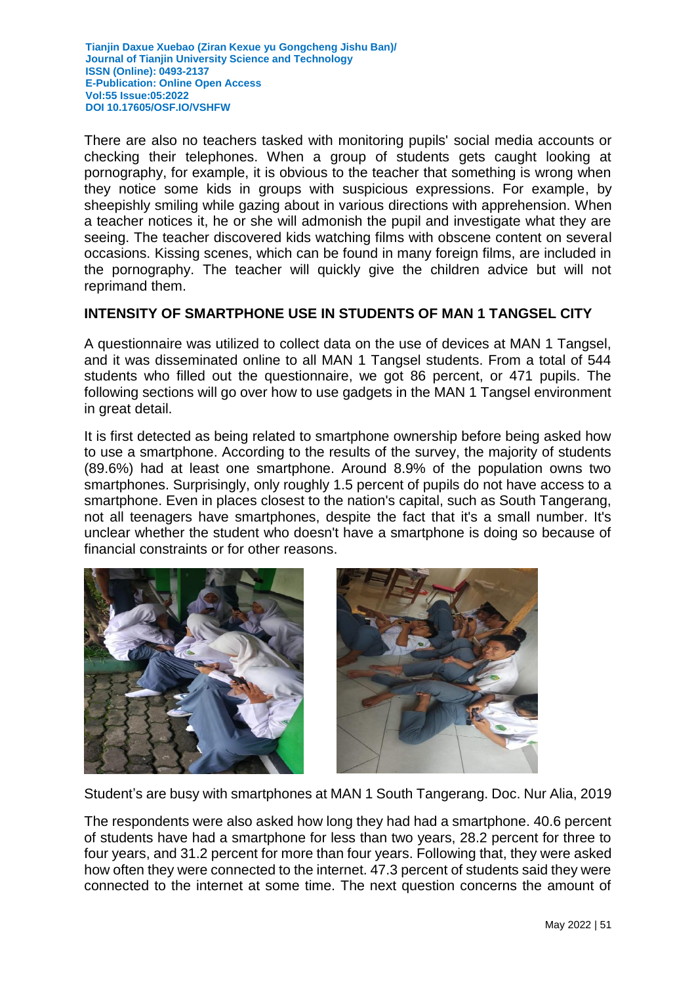There are also no teachers tasked with monitoring pupils' social media accounts or checking their telephones. When a group of students gets caught looking at pornography, for example, it is obvious to the teacher that something is wrong when they notice some kids in groups with suspicious expressions. For example, by sheepishly smiling while gazing about in various directions with apprehension. When a teacher notices it, he or she will admonish the pupil and investigate what they are seeing. The teacher discovered kids watching films with obscene content on several occasions. Kissing scenes, which can be found in many foreign films, are included in the pornography. The teacher will quickly give the children advice but will not reprimand them.

## **INTENSITY OF SMARTPHONE USE IN STUDENTS OF MAN 1 TANGSEL CITY**

A questionnaire was utilized to collect data on the use of devices at MAN 1 Tangsel, and it was disseminated online to all MAN 1 Tangsel students. From a total of 544 students who filled out the questionnaire, we got 86 percent, or 471 pupils. The following sections will go over how to use gadgets in the MAN 1 Tangsel environment in great detail.

It is first detected as being related to smartphone ownership before being asked how to use a smartphone. According to the results of the survey, the majority of students (89.6%) had at least one smartphone. Around 8.9% of the population owns two smartphones. Surprisingly, only roughly 1.5 percent of pupils do not have access to a smartphone. Even in places closest to the nation's capital, such as South Tangerang, not all teenagers have smartphones, despite the fact that it's a small number. It's unclear whether the student who doesn't have a smartphone is doing so because of financial constraints or for other reasons.





Student's are busy with smartphones at MAN 1 South Tangerang. Doc. Nur Alia, 2019

The respondents were also asked how long they had had a smartphone. 40.6 percent of students have had a smartphone for less than two years, 28.2 percent for three to four years, and 31.2 percent for more than four years. Following that, they were asked how often they were connected to the internet. 47.3 percent of students said they were connected to the internet at some time. The next question concerns the amount of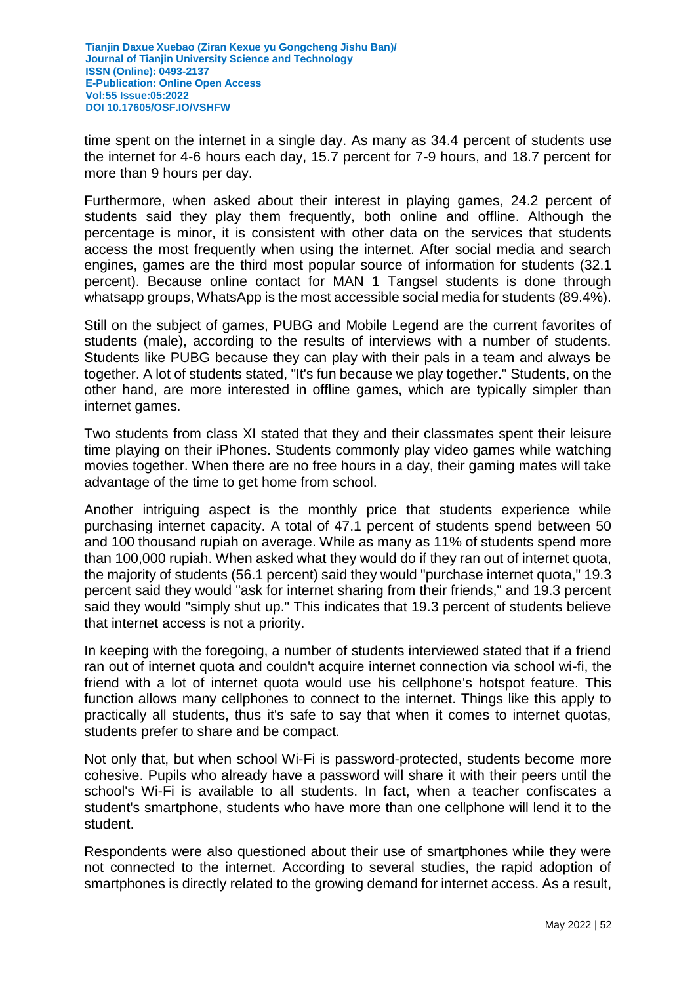time spent on the internet in a single day. As many as 34.4 percent of students use the internet for 4-6 hours each day, 15.7 percent for 7-9 hours, and 18.7 percent for more than 9 hours per day.

Furthermore, when asked about their interest in playing games, 24.2 percent of students said they play them frequently, both online and offline. Although the percentage is minor, it is consistent with other data on the services that students access the most frequently when using the internet. After social media and search engines, games are the third most popular source of information for students (32.1 percent). Because online contact for MAN 1 Tangsel students is done through whatsapp groups, WhatsApp is the most accessible social media for students (89.4%).

Still on the subject of games, PUBG and Mobile Legend are the current favorites of students (male), according to the results of interviews with a number of students. Students like PUBG because they can play with their pals in a team and always be together. A lot of students stated, "It's fun because we play together." Students, on the other hand, are more interested in offline games, which are typically simpler than internet games.

Two students from class XI stated that they and their classmates spent their leisure time playing on their iPhones. Students commonly play video games while watching movies together. When there are no free hours in a day, their gaming mates will take advantage of the time to get home from school.

Another intriguing aspect is the monthly price that students experience while purchasing internet capacity. A total of 47.1 percent of students spend between 50 and 100 thousand rupiah on average. While as many as 11% of students spend more than 100,000 rupiah. When asked what they would do if they ran out of internet quota, the majority of students (56.1 percent) said they would "purchase internet quota," 19.3 percent said they would "ask for internet sharing from their friends," and 19.3 percent said they would "simply shut up." This indicates that 19.3 percent of students believe that internet access is not a priority.

In keeping with the foregoing, a number of students interviewed stated that if a friend ran out of internet quota and couldn't acquire internet connection via school wi-fi, the friend with a lot of internet quota would use his cellphone's hotspot feature. This function allows many cellphones to connect to the internet. Things like this apply to practically all students, thus it's safe to say that when it comes to internet quotas, students prefer to share and be compact.

Not only that, but when school Wi-Fi is password-protected, students become more cohesive. Pupils who already have a password will share it with their peers until the school's Wi-Fi is available to all students. In fact, when a teacher confiscates a student's smartphone, students who have more than one cellphone will lend it to the student.

Respondents were also questioned about their use of smartphones while they were not connected to the internet. According to several studies, the rapid adoption of smartphones is directly related to the growing demand for internet access. As a result,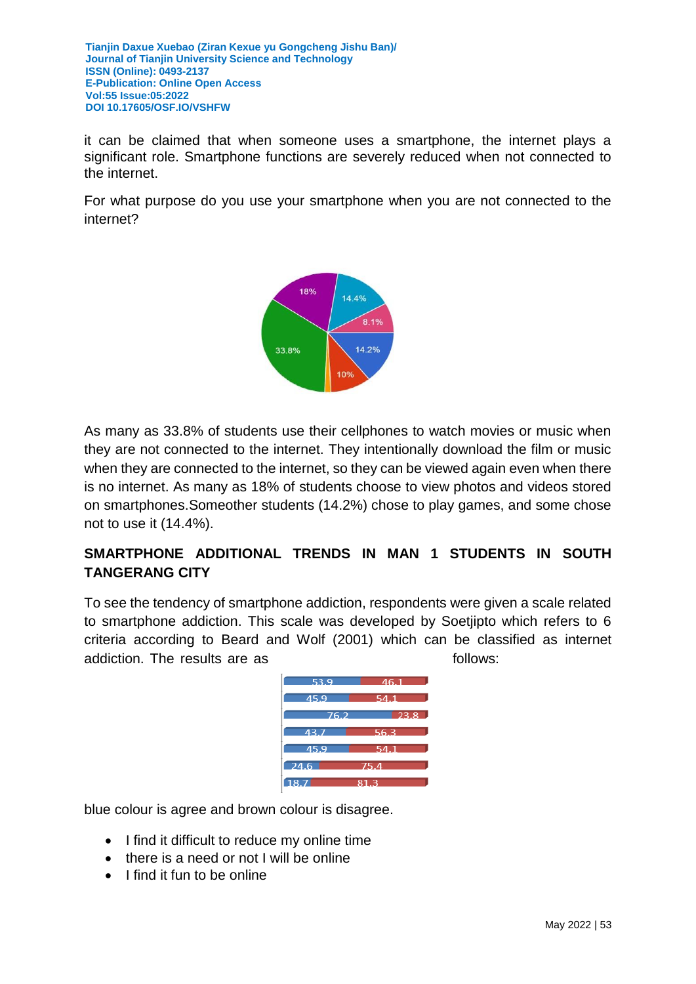it can be claimed that when someone uses a smartphone, the internet plays a significant role. Smartphone functions are severely reduced when not connected to the internet.

For what purpose do you use your smartphone when you are not connected to the internet?



As many as 33.8% of students use their cellphones to watch movies or music when they are not connected to the internet. They intentionally download the film or music when they are connected to the internet, so they can be viewed again even when there is no internet. As many as 18% of students choose to view photos and videos stored on smartphones.Someother students (14.2%) chose to play games, and some chose not to use it (14.4%).

# **SMARTPHONE ADDITIONAL TRENDS IN MAN 1 STUDENTS IN SOUTH TANGERANG CITY**

To see the tendency of smartphone addiction, respondents were given a scale related to smartphone addiction. This scale was developed by Soetjipto which refers to 6 criteria according to Beard and Wolf (2001) which can be classified as internet addiction. The results are as follows:



blue colour is agree and brown colour is disagree.

- I find it difficult to reduce my online time
- there is a need or not I will be online
- $\bullet$  I find it fun to be online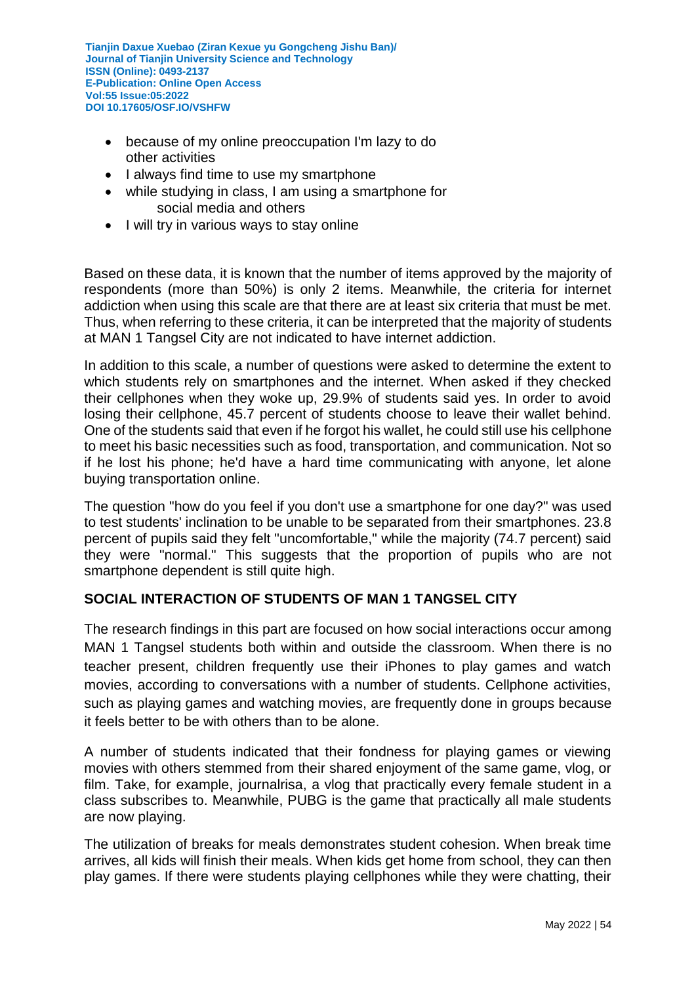- because of my online preoccupation I'm lazy to do other activities
- I always find time to use my smartphone
- while studying in class, I am using a smartphone for social media and others
- I will try in various ways to stay online

Based on these data, it is known that the number of items approved by the majority of respondents (more than 50%) is only 2 items. Meanwhile, the criteria for internet addiction when using this scale are that there are at least six criteria that must be met. Thus, when referring to these criteria, it can be interpreted that the majority of students at MAN 1 Tangsel City are not indicated to have internet addiction.

In addition to this scale, a number of questions were asked to determine the extent to which students rely on smartphones and the internet. When asked if they checked their cellphones when they woke up, 29.9% of students said yes. In order to avoid losing their cellphone, 45.7 percent of students choose to leave their wallet behind. One of the students said that even if he forgot his wallet, he could still use his cellphone to meet his basic necessities such as food, transportation, and communication. Not so if he lost his phone; he'd have a hard time communicating with anyone, let alone buying transportation online.

The question "how do you feel if you don't use a smartphone for one day?" was used to test students' inclination to be unable to be separated from their smartphones. 23.8 percent of pupils said they felt "uncomfortable," while the majority (74.7 percent) said they were "normal." This suggests that the proportion of pupils who are not smartphone dependent is still quite high.

## **SOCIAL INTERACTION OF STUDENTS OF MAN 1 TANGSEL CITY**

The research findings in this part are focused on how social interactions occur among MAN 1 Tangsel students both within and outside the classroom. When there is no teacher present, children frequently use their iPhones to play games and watch movies, according to conversations with a number of students. Cellphone activities, such as playing games and watching movies, are frequently done in groups because it feels better to be with others than to be alone.

A number of students indicated that their fondness for playing games or viewing movies with others stemmed from their shared enjoyment of the same game, vlog, or film. Take, for example, journalrisa, a vlog that practically every female student in a class subscribes to. Meanwhile, PUBG is the game that practically all male students are now playing.

The utilization of breaks for meals demonstrates student cohesion. When break time arrives, all kids will finish their meals. When kids get home from school, they can then play games. If there were students playing cellphones while they were chatting, their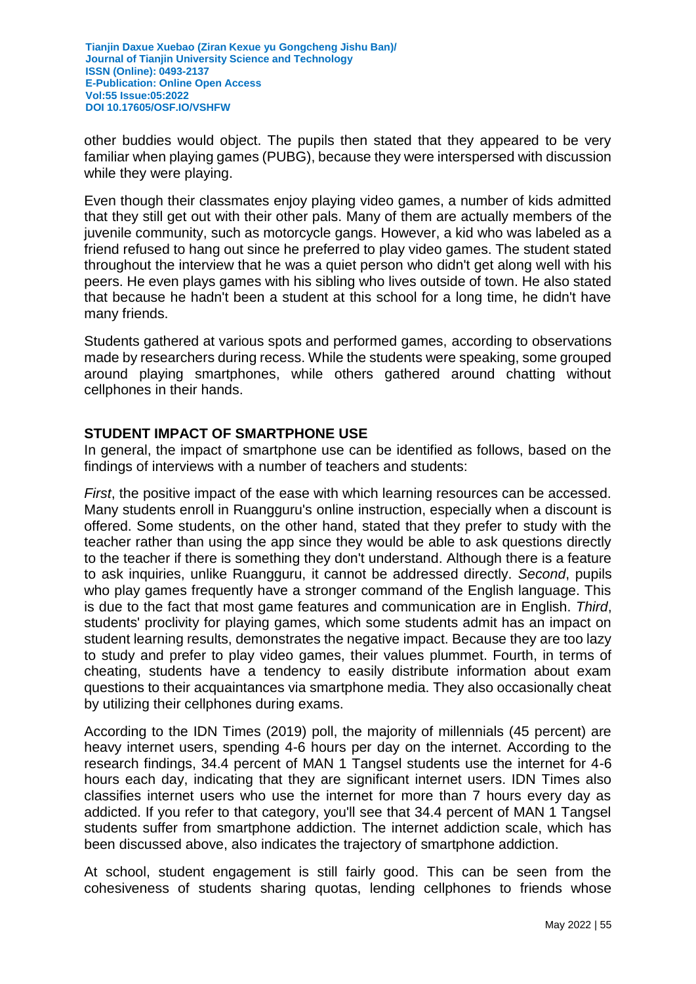other buddies would object. The pupils then stated that they appeared to be very familiar when playing games (PUBG), because they were interspersed with discussion while they were playing.

Even though their classmates enjoy playing video games, a number of kids admitted that they still get out with their other pals. Many of them are actually members of the juvenile community, such as motorcycle gangs. However, a kid who was labeled as a friend refused to hang out since he preferred to play video games. The student stated throughout the interview that he was a quiet person who didn't get along well with his peers. He even plays games with his sibling who lives outside of town. He also stated that because he hadn't been a student at this school for a long time, he didn't have many friends.

Students gathered at various spots and performed games, according to observations made by researchers during recess. While the students were speaking, some grouped around playing smartphones, while others gathered around chatting without cellphones in their hands.

## **STUDENT IMPACT OF SMARTPHONE USE**

In general, the impact of smartphone use can be identified as follows, based on the findings of interviews with a number of teachers and students:

*First*, the positive impact of the ease with which learning resources can be accessed. Many students enroll in Ruangguru's online instruction, especially when a discount is offered. Some students, on the other hand, stated that they prefer to study with the teacher rather than using the app since they would be able to ask questions directly to the teacher if there is something they don't understand. Although there is a feature to ask inquiries, unlike Ruangguru, it cannot be addressed directly. *Second*, pupils who play games frequently have a stronger command of the English language. This is due to the fact that most game features and communication are in English. *Third*, students' proclivity for playing games, which some students admit has an impact on student learning results, demonstrates the negative impact. Because they are too lazy to study and prefer to play video games, their values plummet. Fourth, in terms of cheating, students have a tendency to easily distribute information about exam questions to their acquaintances via smartphone media. They also occasionally cheat by utilizing their cellphones during exams.

According to the IDN Times (2019) poll, the majority of millennials (45 percent) are heavy internet users, spending 4-6 hours per day on the internet. According to the research findings, 34.4 percent of MAN 1 Tangsel students use the internet for 4-6 hours each day, indicating that they are significant internet users. IDN Times also classifies internet users who use the internet for more than 7 hours every day as addicted. If you refer to that category, you'll see that 34.4 percent of MAN 1 Tangsel students suffer from smartphone addiction. The internet addiction scale, which has been discussed above, also indicates the trajectory of smartphone addiction.

At school, student engagement is still fairly good. This can be seen from the cohesiveness of students sharing quotas, lending cellphones to friends whose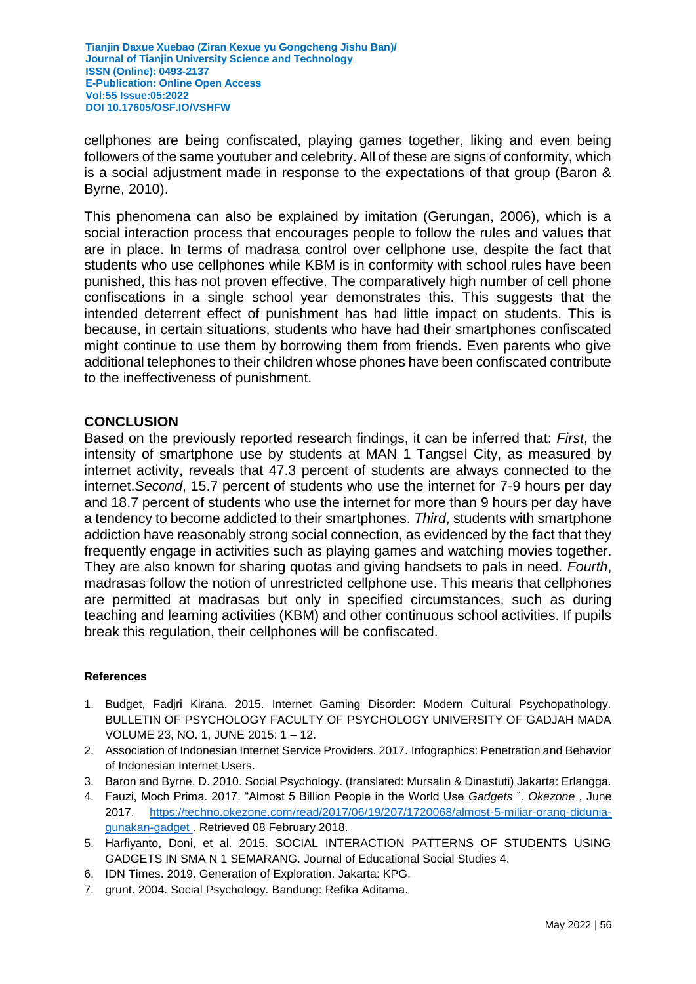cellphones are being confiscated, playing games together, liking and even being followers of the same youtuber and celebrity. All of these are signs of conformity, which is a social adjustment made in response to the expectations of that group (Baron & Byrne, 2010).

This phenomena can also be explained by imitation (Gerungan, 2006), which is a social interaction process that encourages people to follow the rules and values that are in place. In terms of madrasa control over cellphone use, despite the fact that students who use cellphones while KBM is in conformity with school rules have been punished, this has not proven effective. The comparatively high number of cell phone confiscations in a single school year demonstrates this. This suggests that the intended deterrent effect of punishment has had little impact on students. This is because, in certain situations, students who have had their smartphones confiscated might continue to use them by borrowing them from friends. Even parents who give additional telephones to their children whose phones have been confiscated contribute to the ineffectiveness of punishment.

#### **CONCLUSION**

Based on the previously reported research findings, it can be inferred that: *First*, the intensity of smartphone use by students at MAN 1 Tangsel City, as measured by internet activity, reveals that 47.3 percent of students are always connected to the internet.*Second*, 15.7 percent of students who use the internet for 7-9 hours per day and 18.7 percent of students who use the internet for more than 9 hours per day have a tendency to become addicted to their smartphones. *Third*, students with smartphone addiction have reasonably strong social connection, as evidenced by the fact that they frequently engage in activities such as playing games and watching movies together. They are also known for sharing quotas and giving handsets to pals in need. *Fourth*, madrasas follow the notion of unrestricted cellphone use. This means that cellphones are permitted at madrasas but only in specified circumstances, such as during teaching and learning activities (KBM) and other continuous school activities. If pupils break this regulation, their cellphones will be confiscated.

#### **References**

- 1. Budget, Fadjri Kirana. 2015. Internet Gaming Disorder: Modern Cultural Psychopathology. BULLETIN OF PSYCHOLOGY FACULTY OF PSYCHOLOGY UNIVERSITY OF GADJAH MADA VOLUME 23, NO. 1, JUNE 2015: 1 – 12.
- 2. Association of Indonesian Internet Service Providers. 2017. Infographics: Penetration and Behavior of Indonesian Internet Users.
- 3. Baron and Byrne, D. 2010. Social Psychology. (translated: Mursalin & Dinastuti) Jakarta: Erlangga.
- 4. Fauzi, Moch Prima. 2017. "Almost 5 Billion People in the World Use *Gadgets* ". *Okezone* , June 2017. [https://techno.okezone.com/read/2017/06/19/207/1720068/almost-5-miliar-orang-didunia](https://techno.okezone.com/read/2017/06/19/207/1720068/hampir-5-miliar-orang-di-dunia-gunakan-gadget)[gunakan-gadget .](https://techno.okezone.com/read/2017/06/19/207/1720068/hampir-5-miliar-orang-di-dunia-gunakan-gadget) Retrieved 08 February 2018.
- 5. Harfiyanto, Doni, et al. 2015. SOCIAL INTERACTION PATTERNS OF STUDENTS USING GADGETS IN SMA N 1 SEMARANG. Journal of Educational Social Studies 4.
- 6. IDN Times. 2019. Generation of Exploration. Jakarta: KPG.
- 7. grunt. 2004. Social Psychology. Bandung: Refika Aditama.